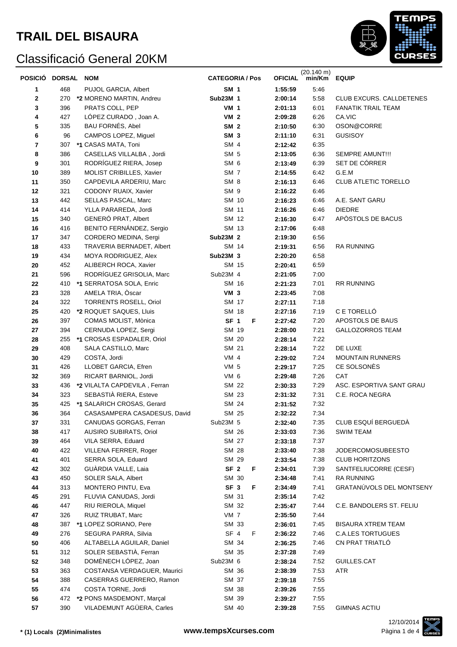

| POSICIÓ DORSAL |     | <b>NOM</b>                                             | <b>CATEGORIA / Pos</b> |   | <b>OFICIAL</b> | $(20.140 \text{ m})$<br>min/Km | <b>EQUIP</b>              |
|----------------|-----|--------------------------------------------------------|------------------------|---|----------------|--------------------------------|---------------------------|
| 1              | 468 | PUJOL GARCIA, Albert                                   | <b>SM 1</b>            |   | 1:55:59        | 5:46                           |                           |
| 2              | 270 | *2 MORENO MARTIN, Andreu                               | <b>Sub23M 1</b>        |   | 2:00:14        | 5:58                           | CLUB EXCURS. CALLDETENES  |
| 3              | 396 | PRATS COLL, PEP                                        | <b>VM 1</b>            |   | 2:01:13        | 6:01                           | <b>FANATIK TRAIL TEAM</b> |
| 4              | 427 | LÓPEZ CURADO, Joan A.                                  | <b>VM 2</b>            |   | 2:09:28        | 6:26                           | CA.VIC                    |
| 5              | 335 | BAU FORNÉS, Abel                                       | <b>SM 2</b>            |   | 2:10:50        | 6:30                           | OSON@CORRE                |
| 6              | 96  | CAMPOS LOPEZ, Miguel                                   | SM <sub>3</sub>        |   | 2:11:10        | 6:31                           | <b>GUSISOY</b>            |
| 7              | 307 | *1 CASAS MATA, Toni                                    | SM 4                   |   | 2:12:42        | 6:35                           |                           |
| 8              | 386 | CASELLAS VILLALBA, Jordi                               | SM <sub>5</sub>        |   | 2:13:05        | 6:36                           | SEMPRE AMUNT!!!           |
| 9              | 301 | RODRÍGUEZ RIERA, Josep                                 | SM <sub>6</sub>        |   | 2:13:49        | 6:39                           | SET DE CÓRRER             |
| 10             | 389 | MOLIST CRIBILLES, Xavier                               | SM <sub>7</sub>        |   | 2:14:55        | 6:42                           | G.E.M                     |
| 11             | 350 | CAPDEVILA ARDERIU, Marc                                | SM <sub>8</sub>        |   | 2:16:13        | 6:46                           | CLUB ATLETIC TORELLO      |
| 12             | 321 | CODONY RUAIX, Xavier                                   | SM <sub>9</sub>        |   | 2:16:22        | 6:46                           |                           |
| 13             | 442 | SELLAS PASCAL, Marc                                    | SM 10                  |   | 2:16:23        | 6:46                           | A.E. SANT GARU            |
| 14             | 414 | YLLA PARAREDA, Jordi                                   | SM 11                  |   | 2:16:26        | 6:46                           | <b>DIEDRE</b>             |
| 15             | 340 | GENERÓ PRAT, Albert                                    | SM 12                  |   | 2:16:30        | 6:47                           | APÒSTOLS DE BACUS         |
| 16             | 416 | BENITO FERNÁNDEZ, Sergio                               | SM 13                  |   | 2:17:06        | 6:48                           |                           |
| 17             | 347 | CORDERO MEDINA, Sergi                                  | Sub23M 2               |   | 2:19:30        | 6:56                           |                           |
| 18             | 433 | TRAVERIA BERNADET, Albert                              | SM 14                  |   | 2:19:31        | 6:56                           | <b>RA RUNNING</b>         |
| 19             | 434 | MOYA RODRIGUEZ, Alex                                   | Sub23M 3               |   | 2:20:20        | 6:58                           |                           |
| 20             | 452 | ALIBERCH ROCA, Xavier                                  | SM 15                  |   | 2:20:41        | 6:59                           |                           |
| 21             | 596 | RODRÍGUEZ GRISOLIA, Marc                               | Sub23M 4               |   | 2:21:05        | 7:00                           |                           |
| 22             | 410 | *1 SERRATOSA SOLA, Enric                               | SM 16                  |   | 2:21:23        | 7:01                           | RR RUNNING                |
| 23             | 328 | AMELA TRIA, Òscar                                      | VM <sub>3</sub>        |   | 2:23:45        | 7:08                           |                           |
| 24             | 322 | TORRENTS ROSELL, Oriol                                 | SM 17                  |   | 2:27:11        | 7:18                           |                           |
| 25             | 420 | *2 ROQUET SAQUES, Lluis                                | SM 18                  |   | 2:27:16        | 7:19                           | C E TORELLÓ               |
| 26             | 397 | COMAS MOLIST, Mònica                                   | SF <sub>1</sub>        | F | 2:27:42        | 7:20                           | APOSTOLS DE BAUS          |
| 27             | 394 | CERNUDA LOPEZ, Sergi                                   | SM 19                  |   | 2:28:00        | 7:21                           | <b>GALLOZORROS TEAM</b>   |
| 28             | 255 | *1 CROSAS ESPADALER, Oriol                             | SM 20                  |   | 2:28:14        | 7:22                           |                           |
| 29             | 408 | SALA CASTILLO, Marc                                    | SM 21                  |   | 2:28:14        | 7:22                           | DE LUXE                   |
| 30             | 429 | COSTA, Jordi                                           | $VM$ 4                 |   | 2:29:02        | 7:24                           | <b>MOUNTAIN RUNNERS</b>   |
| 31             | 426 | LLOBET GARCIA, Efren                                   | VM <sub>5</sub>        |   | 2:29:17        | 7:25                           | CE SOLSONÈS               |
| 32             | 369 | RICART BARNIOL, Jordi                                  | VM 6                   |   | 2:29:48        | 7:26                           | CAT                       |
| 33             | 436 | *2 VILALTA CAPDEVILA, Ferran                           | SM 22                  |   | 2:30:33        | 7:29                           | ASC. ESPORTIVA SANT GRAU  |
| 34             | 323 | SEBASTIÀ RIERA, Esteve                                 | SM 23                  |   | 2:31:32        | 7:31                           | C.E. ROCA NEGRA           |
| 35             |     | 425 *1 SALARICH CROSAS, Gerard                         | SM 24                  |   | 2:31:52        | 7:32                           |                           |
| 36             | 364 | CASASAMPERA CASADESUS, David                           | SM 25                  |   | 2:32:22        | 7:34                           |                           |
| 37             | 331 | CANUDAS GORGAS, Ferran                                 | Sub23M 5               |   | 2:32:40        | 7:35                           | CLUB ESQUÍ BERGUEDÀ       |
| 38             | 417 | <b>AUSIRO SUBIRATS, Oriol</b>                          | SM 26                  |   | 2:33:03        | 7:36                           | SWIM TEAM                 |
| 39             | 464 | VILA SERRA, Eduard                                     | SM 27                  |   | 2:33:18        | 7:37                           |                           |
| 40             | 422 | VILLENA FERRER, Roger                                  | <b>SM 28</b>           |   | 2:33:40        | 7:38                           | <b>JODERCOMOSUBEESTO</b>  |
| 41             | 401 | SERRA SOLA, Eduard                                     | SM 29                  |   | 2:33:54        | 7:38                           | <b>CLUB HORITZONS</b>     |
| 42             | 302 | GUARDIA VALLE, Laia                                    | SF <sub>2</sub>        | F | 2:34:01        | 7:39                           | SANTFELIUCORRE (CESF)     |
| 43             | 450 | SOLER SALA, Albert                                     | SM 30                  |   | 2:34:48        | 7:41                           | <b>RA RUNNING</b>         |
| 44             | 313 | MONTERO PINTU, Eva                                     | SF <sub>3</sub>        | F | 2:34:49        | 7:41                           | GRATANÚVOLS DEL MONTSENY  |
| 45             | 291 | FLUVIA CANUDAS, Jordi                                  | SM 31                  |   | 2:35:14        | 7:42                           |                           |
| 46             | 447 | RIU RIEROLA, Miquel                                    | SM 32                  |   | 2:35:47        | 7:44                           | C.E. BANDOLERS ST. FELIU  |
| 47             | 326 | RUIZ TRUBAT, Marc                                      | VM 7                   |   | 2:35:50        | 7:44                           |                           |
| 48             | 387 | *1 LOPEZ SORIANO, Pere                                 | SM 33                  |   | 2:36:01        | 7:45                           | <b>BISAURA XTREM TEAM</b> |
| 49             | 276 | SEGURA PARRA, Silvia                                   | SF 4                   | F | 2:36:22        | 7:46                           | <b>C.A.LES TORTUGUES</b>  |
| 50             | 406 | ALTABELLA AGUILAR, Daniel                              | SM 34                  |   | 2:36:25        | 7:46                           | CN PRAT TRIATLO           |
| 51             | 312 | SOLER SEBASTIÀ, Ferran                                 | SM 35                  |   | 2:37:28        | 7:49                           |                           |
| 52             | 348 | DOMÈNECH LÓPEZ, Joan                                   | Sub23M 6               |   | 2:38:24        | 7:52                           | GUILLES.CAT               |
| 53             | 363 | COSTANSA VERDAGUER, Maurici                            | SM 36                  |   | 2:38:39        | 7:53                           | <b>ATR</b>                |
|                | 388 | CASERRAS GUERRERO, Ramon                               | SM 37                  |   |                | 7:55                           |                           |
| 54             | 474 | COSTA TORNE, Jordi                                     | SM 38                  |   | 2:39:18        | 7:55                           |                           |
| 55             | 472 |                                                        | SM 39                  |   | 2:39:26        | 7:55                           |                           |
| 56             | 390 | *2 PONS MASDEMONT, Marçal<br>VILADEMUNT AGÜERA, Carles |                        |   | 2:39:27        |                                |                           |
| 57             |     |                                                        | SM 40                  |   | 2:39:28        | 7:55                           | <b>GIMNAS ACTIU</b>       |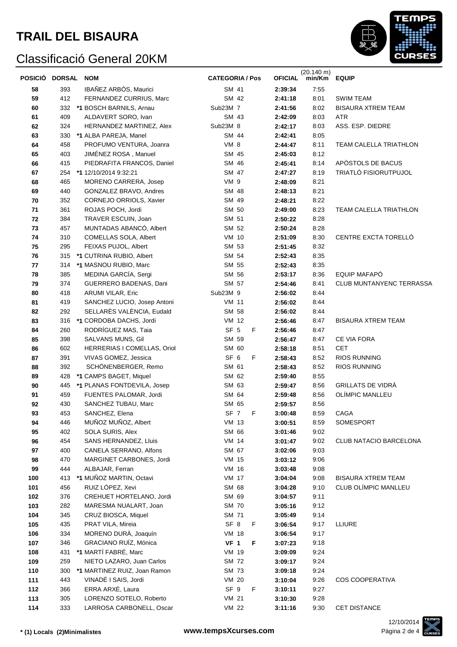

| <b>POSICIÓ</b> | <b>DORSAL</b> | <b>NOM</b>                   | <b>CATEGORIA / Pos</b> | <b>OFICIAL</b> | $(20.140 \text{ m})$<br>min/Km | <b>EQUIP</b>                    |
|----------------|---------------|------------------------------|------------------------|----------------|--------------------------------|---------------------------------|
| 58             | 393           | IBAÑEZ ARBÓS, Maurici        | SM 41                  | 2:39:34        | 7:55                           |                                 |
| 59             | 412           | FERNANDEZ CURRIUS, Marc      | SM 42                  | 2:41:18        | 8:01                           | <b>SWIM TEAM</b>                |
| 60             | 332           | *1 BOSCH BARNILS, Arnau      | Sub23M 7               | 2:41:56        | 8:02                           | <b>BISAURA XTREM TEAM</b>       |
| 61             | 409           | ALDAVERT SORO, Ivan          | SM 43                  | 2:42:09        | 8:03                           | <b>ATR</b>                      |
| 62             | 324           | HERNANDEZ MARTINEZ, Alex     | Sub23M 8               | 2:42:17        | 8:03                           | ASS. ESP. DIEDRE                |
| 63             |               | 330 *1 ALBA PAREJA, Manel    | SM 44                  | 2:42:41        | 8:05                           |                                 |
| 64             | 458           | PROFUMO VENTURA, Joanra      | VM 8                   | 2:44:47        | 8:11                           | TEAM CALELLA TRIATHLON          |
| 65             | 403           | JIMÉNEZ ROSA, Manuel         | SM 45                  | 2:45:03        | 8:12                           |                                 |
| 66             | 415           | PIEDRAFITA FRANCOS, Daniel   | SM 46                  | 2:45:41        | 8:14                           | APÒSTOLS DE BACUS               |
| 67             | 254           | *1 12/10/2014 9:32:21        | SM 47                  | 2:47:27        | 8:19                           | TRIATLÓ FISIORUTPUJOL           |
| 68             | 465           | MORENO CARRERA, Josep        | VM 9                   | 2:48:09        | 8:21                           |                                 |
| 69             | 440           | GONZALEZ BRAVO, Andres       | SM 48                  | 2:48:13        | 8:21                           |                                 |
| 70             | 352           | CORNEJO ORRIOLS, Xavier      | SM 49                  | 2:48:21        | 8:22                           |                                 |
| 71             | 361           | ROJAS POCH, Jordi            | SM 50                  | 2:49:00        | 8:23                           | TEAM CALELLA TRIATHLON          |
| 72             | 384           | TRAVER ESCUIN, Joan          | SM 51                  | 2:50:22        | 8:28                           |                                 |
| 73             | 457           | MUNTADAS ABANCÓ, Albert      | SM 52                  | 2:50:24        | 8:28                           |                                 |
| 74             | 310           | COMELLAS SOLA, Albert        | <b>VM 10</b>           | 2:51:09        | 8:30                           | <b>CENTRE EXCTA TORELLO</b>     |
| 75             | 295           | FEIXAS PUJOL, Albert         | SM 53                  | 2:51:45        | 8:32                           |                                 |
| 76             | 315           | *1 CUTRINA RUBIO, Albert     | SM 54                  | 2:52:43        | 8:35                           |                                 |
| 77             | 314           | *1 MASNOU RUBIO, Marc        | SM 55                  | 2:52:43        | 8:35                           |                                 |
| 78             | 385           | MEDINA GARCÍA, Sergi         | SM 56                  | 2:53:17        | 8:36                           | EQUIP MAFAPÓ                    |
| 79             | 374           | GUERRERO BADENAS, Dani       | SM 57                  | 2:54:46        | 8:41                           | <b>CLUB MUNTANYENC TERRASSA</b> |
| 80             | 418           | ARUMI VILAR, Eric            | Sub23M 9               | 2:56:02        | 8:44                           |                                 |
| 81             | 419           | SANCHEZ LUCIO, Josep Antoni  | <b>VM 11</b>           | 2:56:02        | 8:44                           |                                 |
| 82             | 292           | SELLARÈS VALÈNCIA, Eudald    | SM 58                  | 2:56:02        | 8:44                           |                                 |
| 83             |               | 316 *1 CORDOBA DACHS, Jordi  | <b>VM 12</b>           | 2:56:46        | 8:47                           | <b>BISAURA XTREM TEAM</b>       |
| 84             | 260           | RODRÍGUEZ MAS, Taia          | SF <sub>5</sub><br>F   | 2:56:46        | 8:47                           |                                 |
| 85             | 398           | SALVANS MUNS, Gil            | SM 59                  | 2:56:47        | 8:47                           | <b>CE VIA FORA</b>              |
| 86             | 602           | HERRERIAS I COMELLAS, Oriol  | SM 60                  | 2:58:18        | 8:51                           | <b>CET</b>                      |
| 87             | 391           | VIVAS GOMEZ, Jessica         | SF <sub>6</sub><br>F   | 2:58:43        | 8:52                           | <b>RIOS RUNNING</b>             |
| 88             | 392           | SCHÖNENBERGER, Remo          | SM 61                  | 2:58:43        | 8:52                           | RIOS RUNNING                    |
| 89             | 428           | *1 CAMPS BAGET, Miquel       | SM 62                  | 2:59:40        | 8:55                           |                                 |
| 90             | 445           | *1 PLANAS FONTDEVILA, Josep  | SM 63                  | 2:59:47        | 8:56                           | <b>GRILLATS DE VIDRÀ</b>        |
| 91             | 459           | FUENTES PALOMAR, Jordi       | SM 64                  | 2:59:48        | 8:56                           | OLÍMPIC MANLLEU                 |
| 92             | 430           | SANCHEZ TUBAU, Marc          | SM 65                  | 2:59:57        | 8:56                           |                                 |
| 93             | 453           | SANCHEZ, Elena               | SF 7<br>F              | 3:00:48        | 8:59                           | CAGA                            |
| 94             | 446           | MUÑOZ MUÑOZ, Albert          | <b>VM 13</b>           | 3:00:51        | 8:59                           | SOMESPORT                       |
| 95             | 402           | SOLA SURIS, Alex             | SM 66                  | 3:01:46        | 9:02                           |                                 |
| 96             | 454           | SANS HERNANDEZ, Lluis        | <b>VM 14</b>           | 3:01:47        | 9:02                           | <b>CLUB NATACIO BARCELONA</b>   |
| 97             | 400           | CANELA SERRANO, Alfons       | SM 67                  | 3:02:06        | 9:03                           |                                 |
| 98             | 470           | MARGINET CARBONES, Jordi     | VM 15                  | 3:03:12        | 9:06                           |                                 |
| 99             | 444           | ALBAJAR, Ferran              | VM 16                  | 3:03:48        | 9:08                           |                                 |
| 100            | 413           | *1 MUÑOZ MARTIN, Octavi      | <b>VM 17</b>           | 3:04:04        | 9:08                           | <b>BISAURA XTREM TEAM</b>       |
| 101            | 456           | RUIZ LÓPEZ, Xevi             | SM 68                  | 3:04:28        | 9:10                           | CLUB OLÍMPIC MANLLEU            |
| 102            | 376           | CREHUET HORTELANO, Jordi     | SM 69                  | 3:04:57        | 9:11                           |                                 |
| 103            | 282           | MARESMA NUALART, Joan        | SM 70                  | 3:05:16        | 9:12                           |                                 |
| 104            | 345           | CRUZ BIOSCA, Miquel          | SM 71                  | 3:05:49        | 9:14                           |                                 |
| 105            | 435           | PRAT VILA, Mireia            | SF <sub>8</sub><br>F   | 3:06:54        | 9:17                           | LLIURE                          |
| 106            | 334           | MORENO DURÀ, Joaquín         | <b>VM 18</b>           | 3:06:54        | 9:17                           |                                 |
| 107            | 346           | GRACIANO RUÍZ, Mónica        | <b>VF 1</b><br>F       | 3:07:23        | 9:18                           |                                 |
| 108            | 431           | *1 MARTÍ FABRÉ, Marc         | VM 19                  | 3:09:09        | 9:24                           |                                 |
| 109            | 259           | NIETO LAZARO, Juan Carlos    | SM 72                  | 3:09:17        | 9:24                           |                                 |
| 110            | 300           | *1 MARTINEZ RUIZ, Joan Ramon | SM 73                  | 3:09:18        | 9:24                           |                                 |
| 111            | 443           | VINADÉ I SAIS, Jordi         | <b>VM 20</b>           | 3:10:04        | 9:26                           | <b>COS COOPERATIVA</b>          |
| 112            | 366           | ERRA ARXÉ, Laura             | SF 9<br>F              | 3:10:11        | 9:27                           |                                 |
| 113            | 305           | LORENZO SOTELO, Roberto      | VM 21                  | 3:10:30        | 9:28                           |                                 |
| 114            | 333           | LARROSA CARBONELL, Oscar     | <b>VM 22</b>           |                | 9:30                           | CET DISTANCE                    |
|                |               |                              |                        | 3:11:16        |                                |                                 |

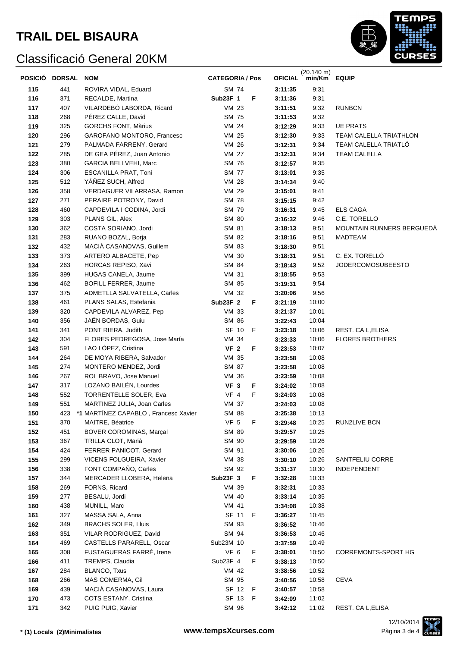# **TRAIL DEL BISAURA**



|     | POSICIÓ DORSAL | <b>NOM</b>                           | <b>CATEGORIA / Pos</b> | <b>OFICIAL</b> | (20.140 m)<br>min/Km EQUIP |                           |
|-----|----------------|--------------------------------------|------------------------|----------------|----------------------------|---------------------------|
| 115 | 441            | ROVIRA VIDAL, Eduard                 | SM 74                  | 3:11:35        | 9:31                       |                           |
| 116 | 371            | RECALDE, Martina                     | <b>Sub23F 1</b><br>F   | 3:11:36        | 9:31                       |                           |
| 117 | 407            | VILARDEBO LABORDA, Ricard            | <b>VM 23</b>           | 3:11:51        | 9:32                       | <b>RUNBCN</b>             |
| 118 | 268            | PÉREZ CALLE, David                   | SM 75                  | 3:11:53        | 9:32                       |                           |
| 119 | 325            | <b>GORCHS FONT, Màrius</b>           | VM 24                  | 3:12:29        | 9:33                       | <b>UE PRATS</b>           |
| 120 | 296            | <b>GAROFANO MONTORO, Francesc</b>    | VM 25                  | 3:12:30        | 9:33                       | TEAM CALELLA TRIATHLON    |
| 121 | 279            | PALMADA FARRENY, Gerard              | VM 26                  | 3:12:31        | 9:34                       | TEAM CALELLA TRIATLO      |
| 122 | 285            | DE GEA PÉREZ, Juan Antonio           | <b>VM 27</b>           | 3:12:31        | 9:34                       | <b>TEAM CALELLA</b>       |
| 123 | 380            | <b>GARCIA BELLVEHI, Marc</b>         | SM 76                  | 3:12:57        | 9:35                       |                           |
| 124 | 306            | <b>ESCANILLA PRAT, Toni</b>          | <b>SM 77</b>           | 3:13:01        | 9:35                       |                           |
| 125 | 512            | YÁÑEZ SUCH, Alfred                   | <b>VM 28</b>           | 3:14:34        | 9:40                       |                           |
| 126 | 358            | VERDAGUER VILARRASA, Ramon           | VM 29                  | 3:15:01        | 9:41                       |                           |
| 127 | 271            | PERAIRE POTRONY, David               | SM 78                  | 3:15:15        | 9:42                       |                           |
| 128 | 460            | CAPDEVILA I CODINA, Jordi            | SM 79                  | 3:16:31        | 9:45                       | <b>ELS CAGA</b>           |
| 129 | 303            | PLANS GIL, Alex                      | SM 80                  | 3:16:32        | 9:46                       | C.E. TORELLO              |
| 130 | 362            | COSTA SORIANO, Jordi                 | SM 81                  | 3:18:13        | 9:51                       | MOUNTAIN RUNNERS BERGUEDÀ |
| 131 | 283            | RUANO BOZAL, Borja                   | SM 82                  | 3:18:16        | 9:51                       | <b>MADTEAM</b>            |
| 132 | 432            | MACIÀ CASANOVAS, Guillem             | SM 83                  | 3:18:30        | 9:51                       |                           |
| 133 | 373            | ARTERO ALBACETE, Pep                 | <b>VM 30</b>           | 3:18:31        | 9:51                       | C. EX. TORELLÓ            |
| 134 | 263            | HORCAS REPISO, Xavi                  | SM 84                  | 3:18:43        | 9:52                       | <b>JODERCOMOSUBEESTO</b>  |
| 135 | 399            | HUGAS CANELA, Jaume                  | VM 31                  | 3:18:55        | 9:53                       |                           |
| 136 | 462            | <b>BOFILL FERRER, Jaume</b>          | SM 85                  | 3:19:31        | 9:54                       |                           |
| 137 | 375            | ADMETLLA SALVATELLA, Carles          | VM 32                  | 3:20:06        | 9:56                       |                           |
| 138 | 461            | PLANS SALAS, Estefania               | Sub23F 2<br>F          | 3:21:19        | 10:00                      |                           |
| 139 | 320            | CAPDEVILA ALVAREZ, Pep               | VM 33                  | 3:21:37        | 10:01                      |                           |
| 140 | 356            | JAÉN BORDAS, Guiu                    | SM 86                  | 3:22:43        | 10:04                      |                           |
| 141 | 341            | PONT RIERA, Judith                   | SF 10<br>F             | 3:23:18        | 10:06                      | REST. CA L, ELISA         |
| 142 | 304            | FLORES PEDREGOSA, Jose María         | VM 34                  | 3:23:33        | 10:06                      | <b>FLORES BROTHERS</b>    |
| 143 | 591            | LAO LÓPEZ, Cristina                  | VF <sub>2</sub><br>F   | 3:23:53        | 10:07                      |                           |
| 144 | 264            | DE MOYA RIBERA, Salvador             | VM 35                  | 3:23:58        | 10:08                      |                           |
| 145 | 274            | MONTERO MENDEZ, Jordi                | SM 87                  | 3:23:58        | 10:08                      |                           |
| 146 | 267            | ROL BRAVO, Jose Manuel               | VM 36                  | 3:23:59        | 10:08                      |                           |
| 147 | 317            | LOZANO BAILÉN, Lourdes               | VF <sub>3</sub><br>F   | 3:24:02        | 10:08                      |                           |
| 148 | 552            | TORRENTELLE SOLER, Eva               | VF 4<br>F              | 3:24:03        | 10:08                      |                           |
| 149 | 551            | MARTINEZ JULIA, Joan Carles          | VM 37                  | 3:24:03        | 10:08                      |                           |
| 150 | 423            | *1 MARTÍNEZ CAPABLO, Francesc Xavier | SM 88                  | 3:25:38        | 10:13                      |                           |
| 151 | 370            | MAITRE, Béatrice                     | VF <sub>5</sub><br>F   | 3:29:48        | 10:25                      | RUN2LIVE BCN              |
| 152 | 451            | BOVER COROMINAS, Marçal              | SM 89                  | 3:29:57        | 10:25                      |                           |
| 153 | 367            | TRILLA CLOT, Marià                   | SM 90                  | 3:29:59        | 10:26                      |                           |
| 154 | 424            | FERRER PANICOT, Gerard               | SM 91                  | 3:30:06        | 10:26                      |                           |
| 155 | 299            | VICENS FOLGUEIRA, Xavier             | VM 38                  | 3:30:10        | 10:26                      | SANTFELIU CORRE           |
| 156 | 338            | FONT COMPAÑO, Carles                 | SM 92                  | 3:31:37        | 10:30                      | <b>INDEPENDENT</b>        |
| 157 | 344            | MERCADER LLOBERA, Helena             | Sub23F 3<br>F          | 3:32:28        | 10:33                      |                           |
| 158 | 269            | FORNS, Ricard                        | VM 39                  | 3:32:31        | 10:33                      |                           |
| 159 | 277            | BESALU, Jordi                        | VM 40                  | 3:33:14        | 10:35                      |                           |
| 160 | 438            | MUNILL, Marc                         | VM 41                  | 3:34:08        | 10:38                      |                           |
| 161 | 327            | MASSA SALA, Anna                     | SF 11<br>F             | 3:36:27        | 10:45                      |                           |
| 162 | 349            | <b>BRACHS SOLER, Lluis</b>           | SM 93                  | 3:36:52        | 10:46                      |                           |
| 163 | 351            | VILAR RODRIGUEZ, David               | SM 94                  | 3:36:53        | 10:46                      |                           |
| 164 | 469            | CASTELLS PARARELL, Oscar             | Sub23M 10              | 3:37:59        | 10:49                      |                           |
| 165 | 308            | FUSTAGUERAS FARRÉ, Irene             | VF 6<br>F              | 3:38:01        | 10:50                      | CORREMONTS-SPORT HG       |
| 166 | 411            | TREMPS, Claudia                      | Sub23F 4<br>F          | 3:38:13        | 10:50                      |                           |
| 167 | 284            | <b>BLANCO, Txus</b>                  | VM 42                  | 3:38:56        | 10:52                      |                           |
| 168 | 266            | MAS COMERMA, Gil                     | SM 95                  | 3:40:56        | 10:58                      | <b>CEVA</b>               |
| 169 | 439            | MACIA CASANOVAS, Laura               | SF 12<br>F             | 3:40:57        | 10:58                      |                           |
| 170 | 473            | COTS ESTANY, Cristina                | SF 13<br>F             | 3:42:09        | 11:02                      |                           |
| 171 | 342            | PUIG PUIG, Xavier                    | SM 96                  | 3:42:12        | 11:02                      | REST. CA L, ELISA         |